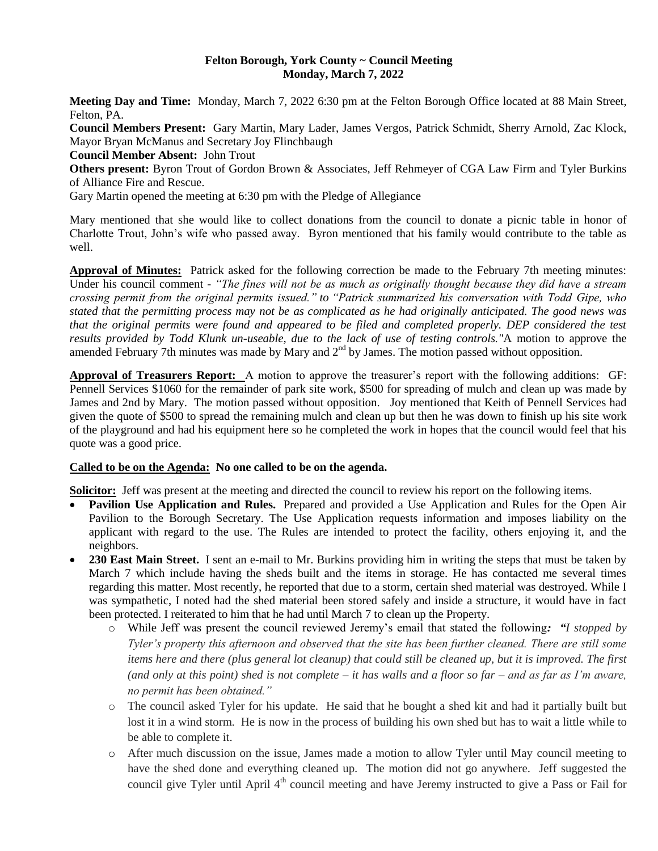#### **Felton Borough, York County ~ Council Meeting Monday, March 7, 2022**

**Meeting Day and Time:** Monday, March 7, 2022 6:30 pm at the Felton Borough Office located at 88 Main Street, Felton, PA.

**Council Members Present:** Gary Martin, Mary Lader, James Vergos, Patrick Schmidt, Sherry Arnold, Zac Klock, Mayor Bryan McManus and Secretary Joy Flinchbaugh

**Council Member Absent:** John Trout

**Others present:** Byron Trout of Gordon Brown & Associates, Jeff Rehmeyer of CGA Law Firm and Tyler Burkins of Alliance Fire and Rescue.

Gary Martin opened the meeting at 6:30 pm with the Pledge of Allegiance

Mary mentioned that she would like to collect donations from the council to donate a picnic table in honor of Charlotte Trout, John's wife who passed away. Byron mentioned that his family would contribute to the table as well.

**Approval of Minutes:** Patrick asked for the following correction be made to the February 7th meeting minutes: Under his council comment - *"The fines will not be as much as originally thought because they did have a stream crossing permit from the original permits issued." to "Patrick summarized his conversation with Todd Gipe, who stated that the permitting process may not be as complicated as he had originally anticipated. The good news was*  that the original permits were found and appeared to be filed and completed properly. DEP considered the test *results provided by Todd Klunk un-useable, due to the lack of use of testing controls."*A motion to approve the amended February 7th minutes was made by Mary and 2<sup>nd</sup> by James. The motion passed without opposition.

**Approval of Treasurers Report:** A motion to approve the treasurer's report with the following additions: GF: Pennell Services \$1060 for the remainder of park site work, \$500 for spreading of mulch and clean up was made by James and 2nd by Mary. The motion passed without opposition. Joy mentioned that Keith of Pennell Services had given the quote of \$500 to spread the remaining mulch and clean up but then he was down to finish up his site work of the playground and had his equipment here so he completed the work in hopes that the council would feel that his quote was a good price.

#### **Called to be on the Agenda: No one called to be on the agenda.** Ξ

**Solicitor:** Jeff was present at the meeting and directed the council to review his report on the following items.

- **Pavilion Use Application and Rules.** Prepared and provided a Use Application and Rules for the Open Air Pavilion to the Borough Secretary. The Use Application requests information and imposes liability on the applicant with regard to the use. The Rules are intended to protect the facility, others enjoying it, and the neighbors.
- **230 East Main Street.** I sent an e-mail to Mr. Burkins providing him in writing the steps that must be taken by March 7 which include having the sheds built and the items in storage. He has contacted me several times regarding this matter. Most recently, he reported that due to a storm, certain shed material was destroyed. While I was sympathetic, I noted had the shed material been stored safely and inside a structure, it would have in fact been protected. I reiterated to him that he had until March 7 to clean up the Property.
	- o While Jeff was present the council reviewed Jeremy's email that stated the following*: "I stopped by Tyler's property this afternoon and observed that the site has been further cleaned. There are still some items here and there (plus general lot cleanup) that could still be cleaned up, but it is improved. The first (and only at this point) shed is not complete – it has walls and a floor so far – and as far as I'm aware, no permit has been obtained."*
	- o The council asked Tyler for his update. He said that he bought a shed kit and had it partially built but lost it in a wind storm. He is now in the process of building his own shed but has to wait a little while to be able to complete it.
	- o After much discussion on the issue, James made a motion to allow Tyler until May council meeting to have the shed done and everything cleaned up. The motion did not go anywhere. Jeff suggested the council give Tyler until April 4<sup>th</sup> council meeting and have Jeremy instructed to give a Pass or Fail for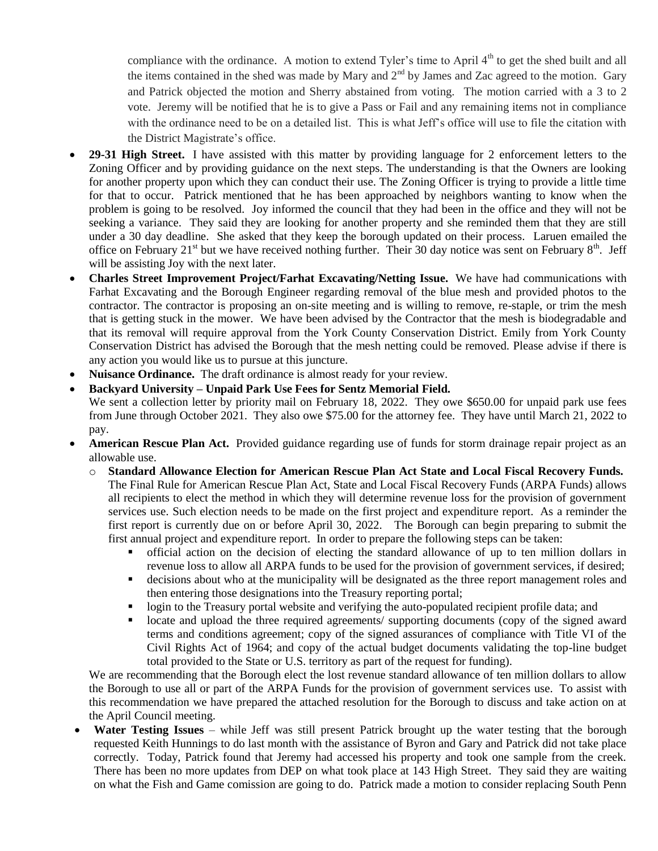compliance with the ordinance. A motion to extend Tyler's time to April  $4<sup>th</sup>$  to get the shed built and all the items contained in the shed was made by Mary and  $2<sup>nd</sup>$  by James and Zac agreed to the motion. Gary and Patrick objected the motion and Sherry abstained from voting. The motion carried with a 3 to 2 vote. Jeremy will be notified that he is to give a Pass or Fail and any remaining items not in compliance with the ordinance need to be on a detailed list. This is what Jeff's office will use to file the citation with the District Magistrate's office.

- **29-31 High Street.** I have assisted with this matter by providing language for 2 enforcement letters to the Zoning Officer and by providing guidance on the next steps. The understanding is that the Owners are looking for another property upon which they can conduct their use. The Zoning Officer is trying to provide a little time for that to occur. Patrick mentioned that he has been approached by neighbors wanting to know when the problem is going to be resolved. Joy informed the council that they had been in the office and they will not be seeking a variance. They said they are looking for another property and she reminded them that they are still under a 30 day deadline. She asked that they keep the borough updated on their process. Laruen emailed the office on February 21<sup>st</sup> but we have received nothing further. Their 30 day notice was sent on February 8<sup>th</sup>. Jeff will be assisting Joy with the next later.
- **Charles Street Improvement Project/Farhat Excavating/Netting Issue.** We have had communications with Farhat Excavating and the Borough Engineer regarding removal of the blue mesh and provided photos to the contractor. The contractor is proposing an on-site meeting and is willing to remove, re-staple, or trim the mesh that is getting stuck in the mower. We have been advised by the Contractor that the mesh is biodegradable and that its removal will require approval from the York County Conservation District. Emily from York County Conservation District has advised the Borough that the mesh netting could be removed. Please advise if there is any action you would like us to pursue at this juncture.
- **Nuisance Ordinance.** The draft ordinance is almost ready for your review.
- **Backyard University – Unpaid Park Use Fees for Sentz Memorial Field.** We sent a collection letter by priority mail on February 18, 2022. They owe \$650.00 for unpaid park use fees from June through October 2021. They also owe \$75.00 for the attorney fee. They have until March 21, 2022 to pay.
- **American Rescue Plan Act.** Provided guidance regarding use of funds for storm drainage repair project as an allowable use.
	- o **Standard Allowance Election for American Rescue Plan Act State and Local Fiscal Recovery Funds.** The Final Rule for American Rescue Plan Act, State and Local Fiscal Recovery Funds (ARPA Funds) allows all recipients to elect the method in which they will determine revenue loss for the provision of government services use. Such election needs to be made on the first project and expenditure report. As a reminder the first report is currently due on or before April 30, 2022. The Borough can begin preparing to submit the first annual project and expenditure report. In order to prepare the following steps can be taken:
		- official action on the decision of electing the standard allowance of up to ten million dollars in revenue loss to allow all ARPA funds to be used for the provision of government services, if desired;
		- decisions about who at the municipality will be designated as the three report management roles and then entering those designations into the Treasury reporting portal;
		- login to the Treasury portal website and verifying the auto-populated recipient profile data; and
		- locate and upload the three required agreements/ supporting documents (copy of the signed award terms and conditions agreement; copy of the signed assurances of compliance with Title VI of the Civil Rights Act of 1964; and copy of the actual budget documents validating the top-line budget total provided to the State or U.S. territory as part of the request for funding).

We are recommending that the Borough elect the lost revenue standard allowance of ten million dollars to allow the Borough to use all or part of the ARPA Funds for the provision of government services use. To assist with this recommendation we have prepared the attached resolution for the Borough to discuss and take action on at the April Council meeting.

 **Water Testing Issues** – while Jeff was still present Patrick brought up the water testing that the borough requested Keith Hunnings to do last month with the assistance of Byron and Gary and Patrick did not take place correctly. Today, Patrick found that Jeremy had accessed his property and took one sample from the creek. There has been no more updates from DEP on what took place at 143 High Street. They said they are waiting on what the Fish and Game comission are going to do. Patrick made a motion to consider replacing South Penn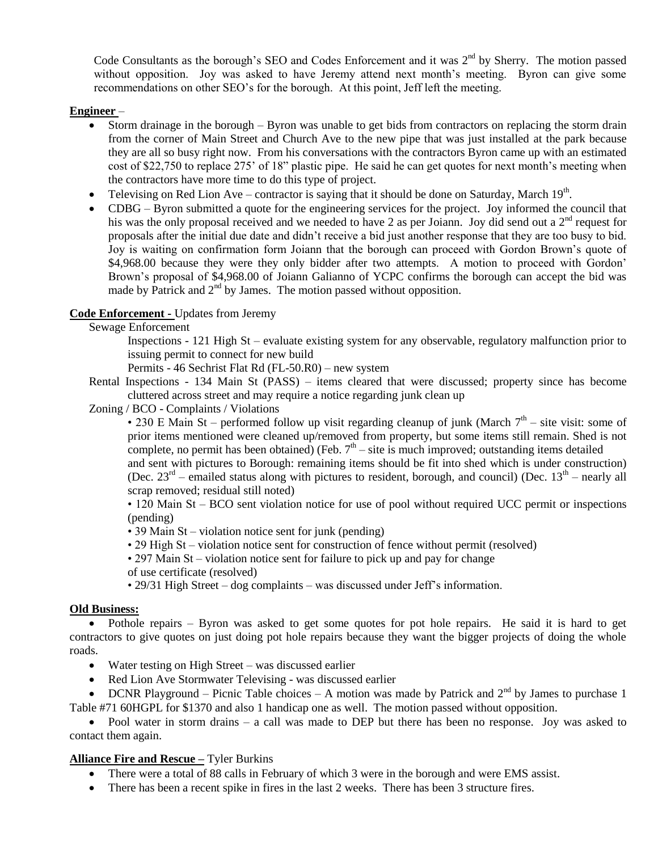Code Consultants as the borough's SEO and Codes Enforcement and it was 2<sup>nd</sup> by Sherry. The motion passed without opposition. Joy was asked to have Jeremy attend next month's meeting. Byron can give some recommendations on other SEO's for the borough. At this point, Jeff left the meeting.

# **Engineer** –

- Storm drainage in the borough Byron was unable to get bids from contractors on replacing the storm drain from the corner of Main Street and Church Ave to the new pipe that was just installed at the park because they are all so busy right now. From his conversations with the contractors Byron came up with an estimated cost of \$22,750 to replace 275' of 18" plastic pipe. He said he can get quotes for next month's meeting when the contractors have more time to do this type of project.
- Televising on Red Lion Ave contractor is saying that it should be done on Saturday, March  $19<sup>th</sup>$ .
- CDBG Byron submitted a quote for the engineering services for the project. Joy informed the council that his was the only proposal received and we needed to have 2 as per Joiann. Joy did send out a 2<sup>nd</sup> request for proposals after the initial due date and didn't receive a bid just another response that they are too busy to bid. Joy is waiting on confirmation form Joiann that the borough can proceed with Gordon Brown's quote of \$4,968.00 because they were they only bidder after two attempts. A motion to proceed with Gordon' Brown's proposal of \$4,968.00 of Joiann Galianno of YCPC confirms the borough can accept the bid was made by Patrick and  $2<sup>nd</sup>$  by James. The motion passed without opposition.

# **Code Enforcement -** Updates from Jeremy

Sewage Enforcement

Inspections - 121 High St – evaluate existing system for any observable, regulatory malfunction prior to issuing permit to connect for new build

Permits - 46 Sechrist Flat Rd (FL-50.R0) – new system

Rental Inspections - 134 Main St (PASS) – items cleared that were discussed; property since has become cluttered across street and may require a notice regarding junk clean up

Zoning / BCO - Complaints / Violations

• 230 E Main St – performed follow up visit regarding cleanup of junk (March  $7<sup>th</sup>$  – site visit: some of prior items mentioned were cleaned up/removed from property, but some items still remain. Shed is not complete, no permit has been obtained) (Feb.  $7<sup>th</sup> -$  site is much improved; outstanding items detailed

and sent with pictures to Borough: remaining items should be fit into shed which is under construction) (Dec.  $23<sup>rd</sup>$  – emailed status along with pictures to resident, borough, and council) (Dec.  $13<sup>th</sup>$  – nearly all scrap removed; residual still noted)

• 120 Main St – BCO sent violation notice for use of pool without required UCC permit or inspections (pending)

- 39 Main St violation notice sent for junk (pending)
- 29 High St violation notice sent for construction of fence without permit (resolved)
- 297 Main St violation notice sent for failure to pick up and pay for change
- of use certificate (resolved)
- 29/31 High Street dog complaints was discussed under Jeff's information.

### **Old Business:**

• Pothole repairs – Byron was asked to get some quotes for pot hole repairs. He said it is hard to get contractors to give quotes on just doing pot hole repairs because they want the bigger projects of doing the whole roads.

- Water testing on High Street was discussed earlier
- Red Lion Ave Stormwater Televising was discussed earlier

• DCNR Playground – Picnic Table choices – A motion was made by Patrick and  $2<sup>nd</sup>$  by James to purchase 1 Table #71 60HGPL for \$1370 and also 1 handicap one as well. The motion passed without opposition.

• Pool water in storm drains – a call was made to DEP but there has been no response. Joy was asked to contact them again.

### **Alliance Fire and Rescue –** Tyler Burkins

- There were a total of 88 calls in February of which 3 were in the borough and were EMS assist.
- There has been a recent spike in fires in the last 2 weeks. There has been 3 structure fires.